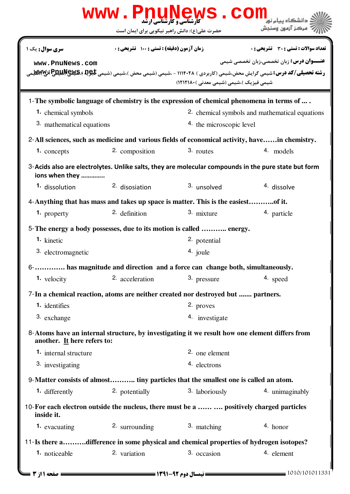|                                                                                                                               | <b>www.PnuNews.cor</b>                        |                                          |                                                                                                                                                                                                              |  |
|-------------------------------------------------------------------------------------------------------------------------------|-----------------------------------------------|------------------------------------------|--------------------------------------------------------------------------------------------------------------------------------------------------------------------------------------------------------------|--|
|                                                                                                                               | حضرت علی(ع): دانش راهبر نیکویی برای ایمان است |                                          | مركز آزمون وسنجش                                                                                                                                                                                             |  |
| سری سوال: یک ۱                                                                                                                | زمان آزمون (دقیقه) : تستی : 100 تشریحی : 0    |                                          | <b>تعداد سوالات : تستی : 30 ٪ تشریحی : 0</b>                                                                                                                                                                 |  |
| www.PnuNews.com                                                                                                               |                                               | شیمی فیزیک )،شیمی (شیمی معدنی )۱۲۱۲۱۸۰ ) | <b>عنـــوان درس:</b> زبان تخصصي،زبان تخصصي شيمي<br><b>رشته تحصیلی/کد درس:</b> شیمی گرایش محض،شیمی (کاربردی ) ۱۱۱۴۰۲۸ - ،شیمی (شیمی محض )،شیمی (شیمی <del>تا</del> ِ9 <b>¤ ) REXYS و Pتال MEXX</b> التال MEXX |  |
| 1-The symbolic language of chemistry is the expression of chemical phenomena in terms of                                      |                                               |                                          |                                                                                                                                                                                                              |  |
| <b>1.</b> chemical symbols                                                                                                    |                                               |                                          | 2. chemical symbols and mathematical equations                                                                                                                                                               |  |
| 3. mathematical equations                                                                                                     |                                               |                                          | 4. the microscopic level                                                                                                                                                                                     |  |
|                                                                                                                               |                                               |                                          | 2-All sciences, such as medicine and various fields of economical activity, havein chemistry.                                                                                                                |  |
| 1. concepts                                                                                                                   | 2. composition                                | 3. routes                                | 4. models                                                                                                                                                                                                    |  |
| ions when they                                                                                                                |                                               |                                          | 3-Acids also are electrolytes. Unlike salts, they are molecular compounds in the pure state but form                                                                                                         |  |
| 1. dissolution                                                                                                                | <sup>2.</sup> disosiation                     | 3. unsolved                              | 4. dissolve                                                                                                                                                                                                  |  |
| 4-Anything that has mass and takes up space is matter. This is the easiestof it.                                              |                                               |                                          |                                                                                                                                                                                                              |  |
| 1. property                                                                                                                   | 2. definition                                 | 3. mixture                               | 4. particle                                                                                                                                                                                                  |  |
| 5- The energy a body possesses, due to its motion is called  energy.                                                          |                                               |                                          |                                                                                                                                                                                                              |  |
| $1.$ kinetic                                                                                                                  |                                               | 2. potential                             |                                                                                                                                                                                                              |  |
| 3. electromagnetic                                                                                                            |                                               | 4. joule                                 |                                                                                                                                                                                                              |  |
| 6- has magnitude and direction and a force can change both, simultaneously.                                                   |                                               |                                          |                                                                                                                                                                                                              |  |
| $1.$ velocity                                                                                                                 | 2. acceleration                               | 3. pressure                              | 4. speed                                                                                                                                                                                                     |  |
| 7-In a chemical reaction, atoms are neither created nor destroyed but  partners.                                              |                                               |                                          |                                                                                                                                                                                                              |  |
| 1. identifies                                                                                                                 |                                               | 2. proves                                |                                                                                                                                                                                                              |  |
| 3. exchange                                                                                                                   |                                               | 4. investigate                           |                                                                                                                                                                                                              |  |
| 8-Atoms have an internal structure, by investigating it we result how one element differs from<br>another. It here refers to: |                                               |                                          |                                                                                                                                                                                                              |  |
| 1. internal structure                                                                                                         |                                               | 2. one element                           |                                                                                                                                                                                                              |  |
| 3. investigating                                                                                                              |                                               | 4. electrons                             |                                                                                                                                                                                                              |  |
| 9-Matter consists of almost tiny particles that the smallest one is called an atom.                                           |                                               |                                          |                                                                                                                                                                                                              |  |
| 1. differently                                                                                                                | 2. potentially                                | 3. laboriously                           | 4. unimaginably                                                                                                                                                                                              |  |
| 10-For each electron outside the nucleus, there must be a   positively charged particles<br>inside it.                        |                                               |                                          |                                                                                                                                                                                                              |  |
| 1. evacuating                                                                                                                 | 2. surrounding                                | 3. matching                              | 4. honor                                                                                                                                                                                                     |  |
| 11-Is there adifference in some physical and chemical properties of hydrogen isotopes?                                        |                                               |                                          |                                                                                                                                                                                                              |  |
| 1. noticeable                                                                                                                 | 2. variation                                  | 3. occasion                              | 4. element                                                                                                                                                                                                   |  |
| <b>: صفحه 11; 3 ـــا</b>                                                                                                      |                                               |                                          | 1010/101011331                                                                                                                                                                                               |  |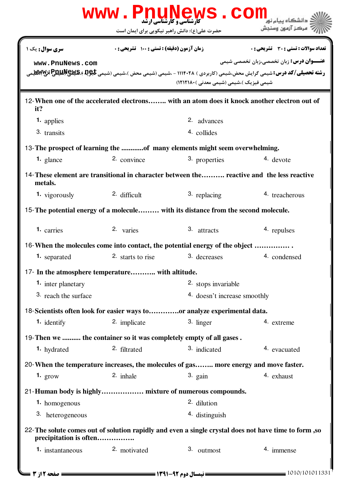|                                                                                       |                                            | <b>www.PnuNews.com</b>                        |                                                                                                                                                                                               |  |
|---------------------------------------------------------------------------------------|--------------------------------------------|-----------------------------------------------|-----------------------------------------------------------------------------------------------------------------------------------------------------------------------------------------------|--|
|                                                                                       |                                            | حضرت علی(ع): دانش راهبر نیکویی برای ایمان است | مركز آزمون وسنجش                                                                                                                                                                              |  |
| سری سوال: یک ۱                                                                        | زمان آزمون (دقیقه) : تستی : 100 تشریحی : 0 |                                               | <b>تعداد سوالات : تستی : 30 ٪ تشریحی : 0</b>                                                                                                                                                  |  |
| www.PnuNews.com                                                                       |                                            | شیمی فیزیک )،شیمی (شیمی معدنی )۱۲۱۲۱۸۰ (      | <b>عنـــوان درس:</b> زبان تخصصي،زبان تخصصي شيمي<br><b>رشته تحصیلی/کد درس:</b> شیمی گرایش محض،شیمی (کاربردی ) ۱۱۱۴۰۲۸ - ،شیمی (شیمی محض )،شیمی (شیمی <del>تا</del> 9&, Pییچالیلیچا آلیلا)لیلیچ |  |
| it?                                                                                   |                                            |                                               | 12- When one of the accelerated electrons with an atom does it knock another electron out of                                                                                                  |  |
| <b>1.</b> applies                                                                     |                                            | 2. advances                                   |                                                                                                                                                                                               |  |
| 3. transits                                                                           |                                            | 4. collides                                   |                                                                                                                                                                                               |  |
| 13- The prospect of learning the of many elements might seem overwhelming.            |                                            |                                               |                                                                                                                                                                                               |  |
| $1.$ glance                                                                           | 2. convince                                | 3. properties                                 | 4. devote                                                                                                                                                                                     |  |
| metals.                                                                               |                                            |                                               | 14-These element are transitional in character between the reactive and the less reactive                                                                                                     |  |
| 1. vigorously                                                                         | 2. difficult                               | 3. replacing                                  | 4. treacherous                                                                                                                                                                                |  |
| 15- The potential energy of a molecule with its distance from the second molecule.    |                                            |                                               |                                                                                                                                                                                               |  |
| 1. carries                                                                            | 2. varies                                  | 3. attracts                                   | 4. repulses                                                                                                                                                                                   |  |
| 16-When the molecules come into contact, the potential energy of the object           |                                            |                                               |                                                                                                                                                                                               |  |
| <b>1.</b> separated                                                                   | 2. starts to rise                          | 3. decreases                                  | 4. condensed                                                                                                                                                                                  |  |
| 17- In the atmosphere temperature with altitude.                                      |                                            |                                               |                                                                                                                                                                                               |  |
| <b>1.</b> inter planetary                                                             |                                            | 2. stops invariable                           |                                                                                                                                                                                               |  |
| 3. reach the surface                                                                  |                                            | 4. doesn't increase smoothly                  |                                                                                                                                                                                               |  |
| 18-Scientists often look for easier ways toor analyze experimental data.              |                                            |                                               |                                                                                                                                                                                               |  |
| <b>1.</b> identify                                                                    | 2. implicate                               | 3. linger                                     | 4. extreme                                                                                                                                                                                    |  |
| 19- Then we  the container so it was completely empty of all gases.                   |                                            |                                               |                                                                                                                                                                                               |  |
| 1. hydrated                                                                           | 2. filtrated                               | 3. indicated                                  | 4. evacuated                                                                                                                                                                                  |  |
| 20- When the temperature increases, the molecules of gas more energy and move faster. |                                            |                                               |                                                                                                                                                                                               |  |
| 1. $grow$                                                                             | 2. inhale                                  | $3.$ gain                                     | 4. exhaust                                                                                                                                                                                    |  |
| 21-Human body is highly mixture of numerous compounds.                                |                                            |                                               |                                                                                                                                                                                               |  |
| 1. homogenous                                                                         |                                            | 2. dilution                                   |                                                                                                                                                                                               |  |
| 3. heterogeneous                                                                      |                                            | 4. distinguish                                |                                                                                                                                                                                               |  |
| precipitation is often                                                                |                                            |                                               | 22- The solute comes out of solution rapidly and even a single crystal does not have time to form, so                                                                                         |  |
| 1. instantaneous                                                                      | 2. motivated                               | 3. outmost                                    | 4. immense                                                                                                                                                                                    |  |
| <b>= صفحه 2 از 3 ــ</b>                                                               |                                            |                                               | 1010/101011331                                                                                                                                                                                |  |